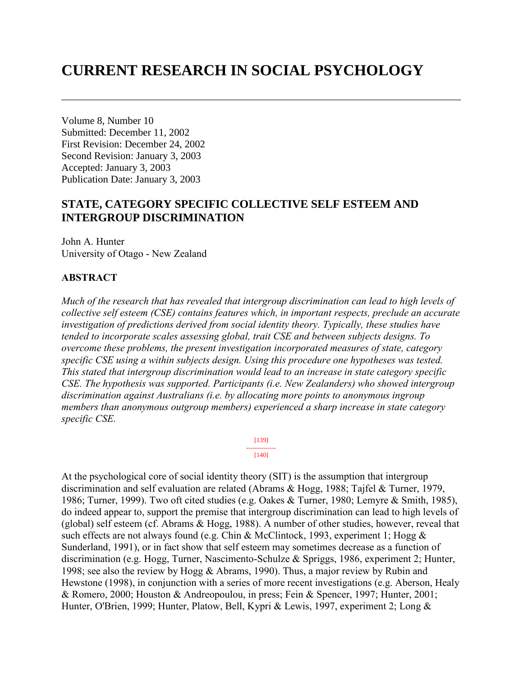# **CURRENT RESEARCH IN SOCIAL PSYCHOLOGY**

Volume 8, Number 10 Submitted: December 11, 2002 First Revision: December 24, 2002 Second Revision: January 3, 2003 Accepted: January 3, 2003 Publication Date: January 3, 2003

# **STATE, CATEGORY SPECIFIC COLLECTIVE SELF ESTEEM AND INTERGROUP DISCRIMINATION**

John A. Hunter University of Otago - New Zealand

# **ABSTRACT**

*Much of the research that has revealed that intergroup discrimination can lead to high levels of collective self esteem (CSE) contains features which, in important respects, preclude an accurate investigation of predictions derived from social identity theory. Typically, these studies have tended to incorporate scales assessing global, trait CSE and between subjects designs. To overcome these problems, the present investigation incorporated measures of state, category specific CSE using a within subjects design. Using this procedure one hypotheses was tested. This stated that intergroup discrimination would lead to an increase in state category specific CSE. The hypothesis was supported. Participants (i.e. New Zealanders) who showed intergroup discrimination against Australians (i.e. by allocating more points to anonymous ingroup members than anonymous outgroup members) experienced a sharp increase in state category specific CSE.* 

> [139] -------------- [140]

At the psychological core of social identity theory (SIT) is the assumption that intergroup discrimination and self evaluation are related (Abrams & Hogg, 1988; Tajfel & Turner, 1979, 1986; Turner, 1999). Two oft cited studies (e.g. Oakes & Turner, 1980; Lemyre & Smith, 1985), do indeed appear to, support the premise that intergroup discrimination can lead to high levels of (global) self esteem (cf. Abrams & Hogg, 1988). A number of other studies, however, reveal that such effects are not always found (e.g. Chin & McClintock, 1993, experiment 1; Hogg & Sunderland, 1991), or in fact show that self esteem may sometimes decrease as a function of discrimination (e.g. Hogg, Turner, Nascimento-Schulze & Spriggs, 1986, experiment 2; Hunter, 1998; see also the review by Hogg & Abrams, 1990). Thus, a major review by Rubin and Hewstone (1998), in conjunction with a series of more recent investigations (e.g. Aberson, Healy & Romero, 2000; Houston & Andreopoulou, in press; Fein & Spencer, 1997; Hunter, 2001; Hunter, O'Brien, 1999; Hunter, Platow, Bell, Kypri & Lewis, 1997, experiment 2; Long &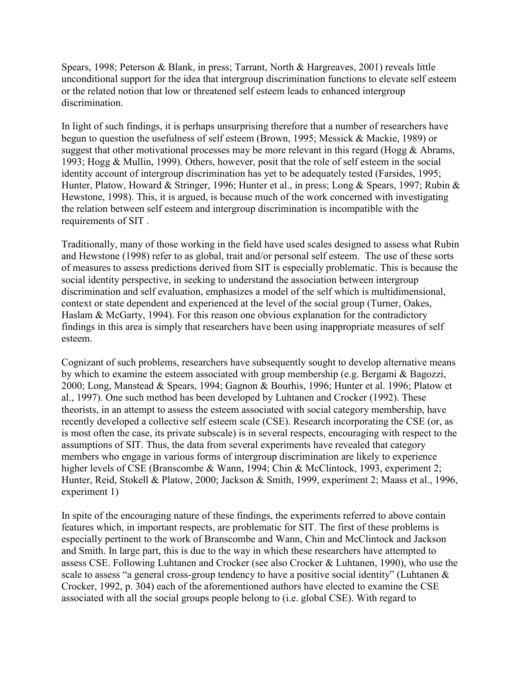Spears, 1998; Peterson & Blank, in press; Tarrant, North & Hargreaves, 2001) reveals little unconditional support for the idea that intergroup discrimination functions to elevate self esteem or the related notion that low or threatened self esteem leads to enhanced intergroup discrimination.

In light of such findings, it is perhaps unsurprising therefore that a number of researchers have begun to question the usefulness of self esteem (Brown, 1995; Messick & Mackie, 1989) or suggest that other motivational processes may be more relevant in this regard (Hogg  $\&$  Abrams, 1993; Hogg & Mullin, 1999). Others, however, posit that the role of self esteem in the social identity account of intergroup discrimination has yet to be adequately tested (Farsides, 1995; Hunter, Platow, Howard & Stringer, 1996; Hunter et al., in press; Long & Spears, 1997; Rubin & Hewstone, 1998). This, it is argued, is because much of the work concerned with investigating the relation between self esteem and intergroup discrimination is incompatible with the requirements of SIT .

Traditionally, many of those working in the field have used scales designed to assess what Rubin and Hewstone (1998) refer to as global, trait and/or personal self esteem. The use of these sorts of measures to assess predictions derived from SIT is especially problematic. This is because the social identity perspective, in seeking to understand the association between intergroup discrimination and self evaluation, emphasizes a model of the self which is multidimensional, context or state dependent and experienced at the level of the social group (Turner, Oakes, Haslam & McGarty, 1994). For this reason one obvious explanation for the contradictory findings in this area is simply that researchers have been using inappropriate measures of self esteem.

Cognizant of such problems, researchers have subsequently sought to develop alternative means by which to examine the esteem associated with group membership (e.g. Bergami & Bagozzi, 2000; Long, Manstead & Spears, 1994; Gagnon & Bourhis, 1996; Hunter et al. 1996; Platow et al., 1997). One such method has been developed by Luhtanen and Crocker (1992). These theorists, in an attempt to assess the esteem associated with social category membership, have recently developed a collective self esteem scale (CSE). Research incorporating the CSE (or, as is most often the case, its private subscale) is in several respects, encouraging with respect to the assumptions of SIT. Thus, the data from several experiments have revealed that category members who engage in various forms of intergroup discrimination are likely to experience higher levels of CSE (Branscombe & Wann, 1994; Chin & McClintock, 1993, experiment 2; Hunter, Reid, Stokell & Platow, 2000; Jackson & Smith, 1999, experiment 2; Maass et al., 1996, experiment 1)

In spite of the encouraging nature of these findings, the experiments referred to above contain features which, in important respects, are problematic for SIT. The first of these problems is especially pertinent to the work of Branscombe and Wann, Chin and McClintock and Jackson and Smith. In large part, this is due to the way in which these researchers have attempted to assess CSE. Following Luhtanen and Crocker (see also Crocker & Luhtanen, 1990), who use the scale to assess "a general cross-group tendency to have a positive social identity" (Luhtanen & Crocker, 1992, p. 304) each of the aforementioned authors have elected to examine the CSE associated with all the social groups people belong to (i.e. global CSE). With regard to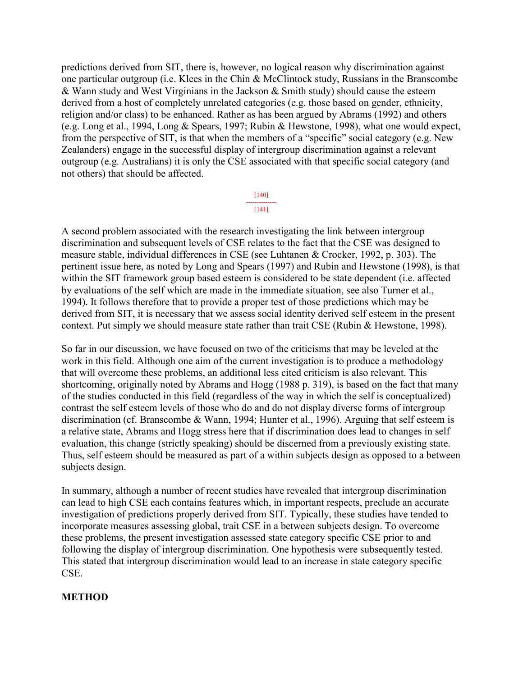predictions derived from SIT, there is, however, no logical reason why discrimination against one particular outgroup (i.e. Klees in the Chin & McClintock study, Russians in the Branscombe & Wann study and West Virginians in the Jackson & Smith study) should cause the esteem derived from a host of completely unrelated categories (e.g. those based on gender, ethnicity, religion and/or class) to be enhanced. Rather as has been argued by Abrams (1992) and others (e.g. Long et al., 1994, Long & Spears, 1997; Rubin & Hewstone, 1998), what one would expect, from the perspective of SIT, is that when the members of a "specific" social category (e.g. New Zealanders) engage in the successful display of intergroup discrimination against a relevant outgroup (e.g. Australians) it is only the CSE associated with that specific social category (and not others) that should be affected.

> [140] -------------- [141]

A second problem associated with the research investigating the link between intergroup discrimination and subsequent levels of CSE relates to the fact that the CSE was designed to measure stable, individual differences in CSE (see Luhtanen & Crocker, 1992, p. 303). The pertinent issue here, as noted by Long and Spears (1997) and Rubin and Hewstone (1998), is that within the SIT framework group based esteem is considered to be state dependent (i.e. affected by evaluations of the self which are made in the immediate situation, see also Turner et al., 1994). It follows therefore that to provide a proper test of those predictions which may be derived from SIT, it is necessary that we assess social identity derived self esteem in the present context. Put simply we should measure state rather than trait CSE (Rubin & Hewstone, 1998).

So far in our discussion, we have focused on two of the criticisms that may be leveled at the work in this field. Although one aim of the current investigation is to produce a methodology that will overcome these problems, an additional less cited criticism is also relevant. This shortcoming, originally noted by Abrams and Hogg (1988 p. 319), is based on the fact that many of the studies conducted in this field (regardless of the way in which the self is conceptualized) contrast the self esteem levels of those who do and do not display diverse forms of intergroup discrimination (cf. Branscombe & Wann, 1994; Hunter et al., 1996). Arguing that self esteem is a relative state, Abrams and Hogg stress here that if discrimination does lead to changes in self evaluation, this change (strictly speaking) should be discerned from a previously existing state. Thus, self esteem should be measured as part of a within subjects design as opposed to a between subjects design.

In summary, although a number of recent studies have revealed that intergroup discrimination can lead to high CSE each contains features which, in important respects, preclude an accurate investigation of predictions properly derived from SIT. Typically, these studies have tended to incorporate measures assessing global, trait CSE in a between subjects design. To overcome these problems, the present investigation assessed state category specific CSE prior to and following the display of intergroup discrimination. One hypothesis were subsequently tested. This stated that intergroup discrimination would lead to an increase in state category specific CSE.

## **METHOD**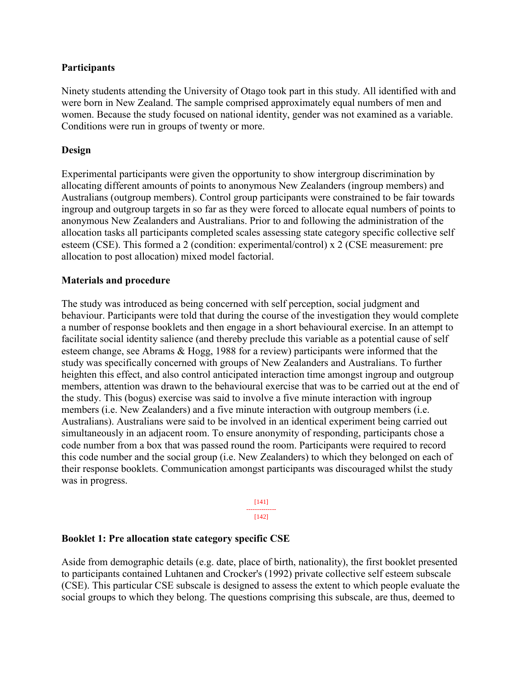## **Participants**

Ninety students attending the University of Otago took part in this study. All identified with and were born in New Zealand. The sample comprised approximately equal numbers of men and women. Because the study focused on national identity, gender was not examined as a variable. Conditions were run in groups of twenty or more.

#### **Design**

Experimental participants were given the opportunity to show intergroup discrimination by allocating different amounts of points to anonymous New Zealanders (ingroup members) and Australians (outgroup members). Control group participants were constrained to be fair towards ingroup and outgroup targets in so far as they were forced to allocate equal numbers of points to anonymous New Zealanders and Australians. Prior to and following the administration of the allocation tasks all participants completed scales assessing state category specific collective self esteem (CSE). This formed a 2 (condition: experimental/control) x 2 (CSE measurement: pre allocation to post allocation) mixed model factorial.

#### **Materials and procedure**

The study was introduced as being concerned with self perception, social judgment and behaviour. Participants were told that during the course of the investigation they would complete a number of response booklets and then engage in a short behavioural exercise. In an attempt to facilitate social identity salience (and thereby preclude this variable as a potential cause of self esteem change, see Abrams & Hogg, 1988 for a review) participants were informed that the study was specifically concerned with groups of New Zealanders and Australians. To further heighten this effect, and also control anticipated interaction time amongst ingroup and outgroup members, attention was drawn to the behavioural exercise that was to be carried out at the end of the study. This (bogus) exercise was said to involve a five minute interaction with ingroup members (i.e. New Zealanders) and a five minute interaction with outgroup members (i.e. Australians). Australians were said to be involved in an identical experiment being carried out simultaneously in an adjacent room. To ensure anonymity of responding, participants chose a code number from a box that was passed round the room. Participants were required to record this code number and the social group (i.e. New Zealanders) to which they belonged on each of their response booklets. Communication amongst participants was discouraged whilst the study was in progress.

[141]

-------------- [142]

#### **Booklet 1: Pre allocation state category specific CSE**

Aside from demographic details (e.g. date, place of birth, nationality), the first booklet presented to participants contained Luhtanen and Crocker's (1992) private collective self esteem subscale (CSE). This particular CSE subscale is designed to assess the extent to which people evaluate the social groups to which they belong. The questions comprising this subscale, are thus, deemed to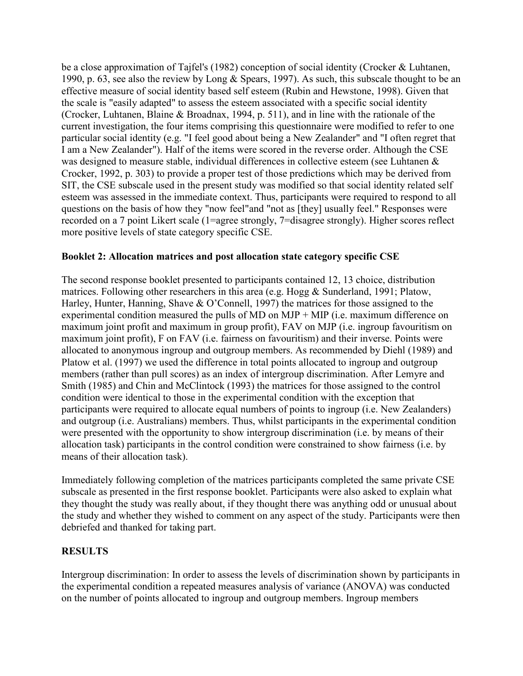be a close approximation of Tajfel's (1982) conception of social identity (Crocker & Luhtanen, 1990, p. 63, see also the review by Long & Spears, 1997). As such, this subscale thought to be an effective measure of social identity based self esteem (Rubin and Hewstone, 1998). Given that the scale is "easily adapted" to assess the esteem associated with a specific social identity (Crocker, Luhtanen, Blaine & Broadnax, 1994, p. 511), and in line with the rationale of the current investigation, the four items comprising this questionnaire were modified to refer to one particular social identity (e.g. "I feel good about being a New Zealander" and "I often regret that I am a New Zealander"). Half of the items were scored in the reverse order. Although the CSE was designed to measure stable, individual differences in collective esteem (see Luhtanen & Crocker, 1992, p. 303) to provide a proper test of those predictions which may be derived from SIT, the CSE subscale used in the present study was modified so that social identity related self esteem was assessed in the immediate context. Thus, participants were required to respond to all questions on the basis of how they "now feel"and "not as [they] usually feel." Responses were recorded on a 7 point Likert scale (1=agree strongly, 7=disagree strongly). Higher scores reflect more positive levels of state category specific CSE.

# **Booklet 2: Allocation matrices and post allocation state category specific CSE**

The second response booklet presented to participants contained 12, 13 choice, distribution matrices. Following other researchers in this area (e.g. Hogg & Sunderland, 1991; Platow, Harley, Hunter, Hanning, Shave & O'Connell, 1997) the matrices for those assigned to the experimental condition measured the pulls of MD on MJP + MIP (i.e. maximum difference on maximum joint profit and maximum in group profit), FAV on MJP (i.e. ingroup favouritism on maximum joint profit), F on FAV (i.e. fairness on favouritism) and their inverse. Points were allocated to anonymous ingroup and outgroup members. As recommended by Diehl (1989) and Platow et al. (1997) we used the difference in total points allocated to ingroup and outgroup members (rather than pull scores) as an index of intergroup discrimination. After Lemyre and Smith (1985) and Chin and McClintock (1993) the matrices for those assigned to the control condition were identical to those in the experimental condition with the exception that participants were required to allocate equal numbers of points to ingroup (i.e. New Zealanders) and outgroup (i.e. Australians) members. Thus, whilst participants in the experimental condition were presented with the opportunity to show intergroup discrimination (i.e. by means of their allocation task) participants in the control condition were constrained to show fairness (i.e. by means of their allocation task).

Immediately following completion of the matrices participants completed the same private CSE subscale as presented in the first response booklet. Participants were also asked to explain what they thought the study was really about, if they thought there was anything odd or unusual about the study and whether they wished to comment on any aspect of the study. Participants were then debriefed and thanked for taking part.

# **RESULTS**

Intergroup discrimination: In order to assess the levels of discrimination shown by participants in the experimental condition a repeated measures analysis of variance (ANOVA) was conducted on the number of points allocated to ingroup and outgroup members. Ingroup members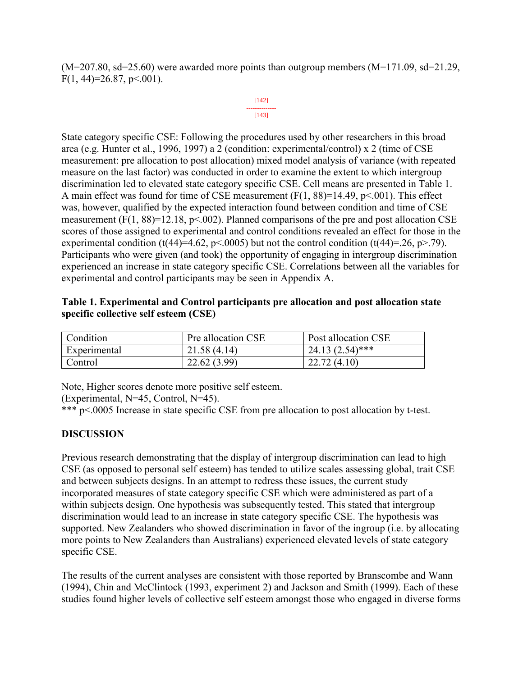$(M=207.80, sd=25.60)$  were awarded more points than outgroup members  $(M=171.09, sd=21.29,$  $F(1, 44)=26.87, p<.001$ ).

#### [142] -------------- [143]

State category specific CSE: Following the procedures used by other researchers in this broad area (e.g. Hunter et al., 1996, 1997) a 2 (condition: experimental/control) x 2 (time of CSE measurement: pre allocation to post allocation) mixed model analysis of variance (with repeated measure on the last factor) was conducted in order to examine the extent to which intergroup discrimination led to elevated state category specific CSE. Cell means are presented in Table 1. A main effect was found for time of CSE measurement  $(F(1, 88)=14.49, p<0.001)$ . This effect was, however, qualified by the expected interaction found between condition and time of CSE measurement  $(F(1, 88)=12.18, p<0.002)$ . Planned comparisons of the pre and post allocation CSE scores of those assigned to experimental and control conditions revealed an effect for those in the experimental condition (t(44)=4.62, p<.0005) but not the control condition (t(44)=.26, p>.79). Participants who were given (and took) the opportunity of engaging in intergroup discrimination experienced an increase in state category specific CSE. Correlations between all the variables for experimental and control participants may be seen in Appendix A.

| Table 1. Experimental and Control participants pre allocation and post allocation state |  |
|-----------------------------------------------------------------------------------------|--|
| specific collective self esteem (CSE)                                                   |  |

| Condition    | Pre allocation CSE | Post allocation CSE |
|--------------|--------------------|---------------------|
| Experimental | 21.58(4.14)        | $24.13(2.54)$ ***   |
| Control      | 22.62(3.99)        | 22.72(4.10)         |

Note, Higher scores denote more positive self esteem.

(Experimental, N=45, Control, N=45).

\*\*\* p<.0005 Increase in state specific CSE from pre allocation to post allocation by t-test.

# **DISCUSSION**

Previous research demonstrating that the display of intergroup discrimination can lead to high CSE (as opposed to personal self esteem) has tended to utilize scales assessing global, trait CSE and between subjects designs. In an attempt to redress these issues, the current study incorporated measures of state category specific CSE which were administered as part of a within subjects design. One hypothesis was subsequently tested. This stated that intergroup discrimination would lead to an increase in state category specific CSE. The hypothesis was supported. New Zealanders who showed discrimination in favor of the ingroup (i.e. by allocating more points to New Zealanders than Australians) experienced elevated levels of state category specific CSE.

The results of the current analyses are consistent with those reported by Branscombe and Wann (1994), Chin and McClintock (1993, experiment 2) and Jackson and Smith (1999). Each of these studies found higher levels of collective self esteem amongst those who engaged in diverse forms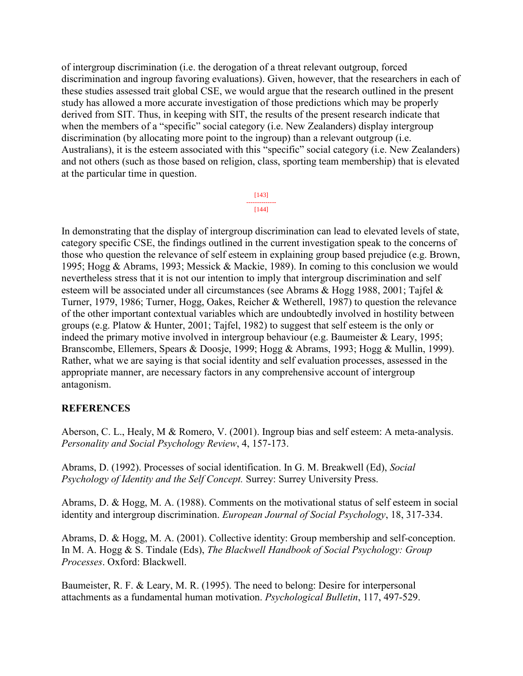of intergroup discrimination (i.e. the derogation of a threat relevant outgroup, forced discrimination and ingroup favoring evaluations). Given, however, that the researchers in each of these studies assessed trait global CSE, we would argue that the research outlined in the present study has allowed a more accurate investigation of those predictions which may be properly derived from SIT. Thus, in keeping with SIT, the results of the present research indicate that when the members of a "specific" social category (i.e. New Zealanders) display intergroup discrimination (by allocating more point to the ingroup) than a relevant outgroup (i.e. Australians), it is the esteem associated with this "specific" social category (i.e. New Zealanders) and not others (such as those based on religion, class, sporting team membership) that is elevated at the particular time in question.

> [143] -------------- [144]

In demonstrating that the display of intergroup discrimination can lead to elevated levels of state, category specific CSE, the findings outlined in the current investigation speak to the concerns of those who question the relevance of self esteem in explaining group based prejudice (e.g. Brown, 1995; Hogg & Abrams, 1993; Messick & Mackie, 1989). In coming to this conclusion we would nevertheless stress that it is not our intention to imply that intergroup discrimination and self esteem will be associated under all circumstances (see Abrams & Hogg 1988, 2001; Tajfel & Turner, 1979, 1986; Turner, Hogg, Oakes, Reicher & Wetherell, 1987) to question the relevance of the other important contextual variables which are undoubtedly involved in hostility between groups (e.g. Platow & Hunter, 2001; Tajfel, 1982) to suggest that self esteem is the only or indeed the primary motive involved in intergroup behaviour (e.g. Baumeister & Leary, 1995; Branscombe, Ellemers, Spears & Doosje, 1999; Hogg & Abrams, 1993; Hogg & Mullin, 1999). Rather, what we are saying is that social identity and self evaluation processes, assessed in the appropriate manner, are necessary factors in any comprehensive account of intergroup antagonism.

# **REFERENCES**

Aberson, C. L., Healy, M & Romero, V. (2001). Ingroup bias and self esteem: A meta-analysis. *Personality and Social Psychology Review*, 4, 157-173.

Abrams, D. (1992). Processes of social identification. In G. M. Breakwell (Ed), *Social Psychology of Identity and the Self Concept.* Surrey: Surrey University Press.

Abrams, D. & Hogg, M. A. (1988). Comments on the motivational status of self esteem in social identity and intergroup discrimination. *European Journal of Social Psychology*, 18, 317-334.

Abrams, D. & Hogg, M. A. (2001). Collective identity: Group membership and self-conception. In M. A. Hogg & S. Tindale (Eds), *The Blackwell Handbook of Social Psychology: Group Processes*. Oxford: Blackwell.

Baumeister, R. F. & Leary, M. R. (1995). The need to belong: Desire for interpersonal attachments as a fundamental human motivation. *Psychological Bulletin*, 117, 497-529.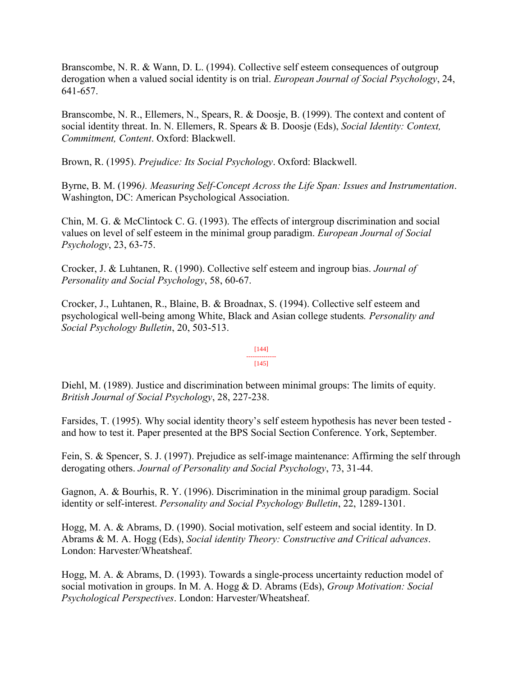Branscombe, N. R. & Wann, D. L. (1994). Collective self esteem consequences of outgroup derogation when a valued social identity is on trial. *European Journal of Social Psychology*, 24, 641-657.

Branscombe, N. R., Ellemers, N., Spears, R. & Doosje, B. (1999). The context and content of social identity threat. In. N. Ellemers, R. Spears & B. Doosje (Eds), *Social Identity: Context, Commitment, Content*. Oxford: Blackwell.

Brown, R. (1995). *Prejudice: Its Social Psychology*. Oxford: Blackwell.

Byrne, B. M. (1996*). Measuring Self-Concept Across the Life Span: Issues and Instrumentation*. Washington, DC: American Psychological Association.

Chin, M. G. & McClintock C. G. (1993). The effects of intergroup discrimination and social values on level of self esteem in the minimal group paradigm. *European Journal of Social Psychology*, 23, 63-75.

Crocker, J. & Luhtanen, R. (1990). Collective self esteem and ingroup bias. *Journal of Personality and Social Psychology*, 58, 60-67.

Crocker, J., Luhtanen, R., Blaine, B. & Broadnax, S. (1994). Collective self esteem and psychological well-being among White, Black and Asian college students*. Personality and Social Psychology Bulletin*, 20, 503-513.

#### [144] -------------- [145]

Diehl, M. (1989). Justice and discrimination between minimal groups: The limits of equity. *British Journal of Social Psychology*, 28, 227-238.

Farsides, T. (1995). Why social identity theory's self esteem hypothesis has never been tested and how to test it. Paper presented at the BPS Social Section Conference. York, September.

Fein, S. & Spencer, S. J. (1997). Prejudice as self-image maintenance: Affirming the self through derogating others. *Journal of Personality and Social Psychology*, 73, 31-44.

Gagnon, A. & Bourhis, R. Y. (1996). Discrimination in the minimal group paradigm. Social identity or self-interest. *Personality and Social Psychology Bulletin*, 22, 1289-1301.

Hogg, M. A. & Abrams, D. (1990). Social motivation, self esteem and social identity. In D. Abrams & M. A. Hogg (Eds), *Social identity Theory: Constructive and Critical advances*. London: Harvester/Wheatsheaf.

Hogg, M. A. & Abrams, D. (1993). Towards a single-process uncertainty reduction model of social motivation in groups. In M. A. Hogg & D. Abrams (Eds), *Group Motivation: Social Psychological Perspectives*. London: Harvester/Wheatsheaf.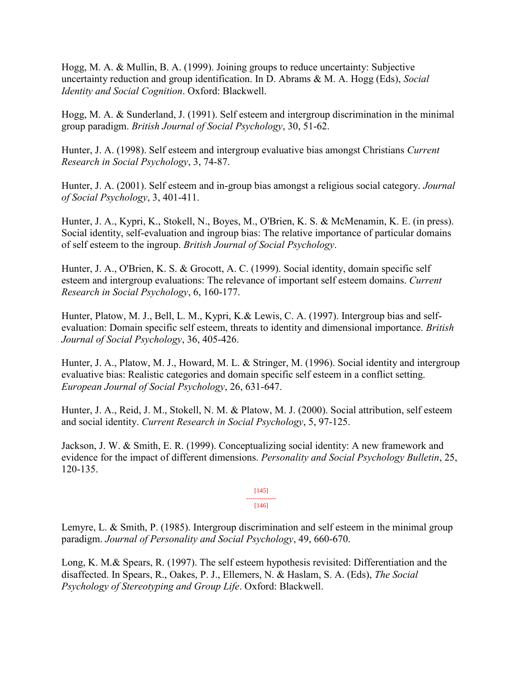Hogg, M. A. & Mullin, B. A. (1999). Joining groups to reduce uncertainty: Subjective uncertainty reduction and group identification. In D. Abrams & M. A. Hogg (Eds), *Social Identity and Social Cognition*. Oxford: Blackwell.

Hogg, M. A. & Sunderland, J. (1991). Self esteem and intergroup discrimination in the minimal group paradigm. *British Journal of Social Psychology*, 30, 51-62.

Hunter, J. A. (1998). Self esteem and intergroup evaluative bias amongst Christians *Current Research in Social Psychology*, 3, 74-87.

Hunter, J. A. (2001). Self esteem and in-group bias amongst a religious social category. *Journal of Social Psychology*, 3, 401-411.

Hunter, J. A., Kypri, K., Stokell, N., Boyes, M., O'Brien, K. S. & McMenamin, K. E. (in press). Social identity, self-evaluation and ingroup bias: The relative importance of particular domains of self esteem to the ingroup. *British Journal of Social Psychology*.

Hunter, J. A., O'Brien, K. S. & Grocott, A. C. (1999). Social identity, domain specific self esteem and intergroup evaluations: The relevance of important self esteem domains. *Current Research in Social Psychology*, 6, 160-177.

Hunter, Platow, M. J., Bell, L. M., Kypri, K.& Lewis, C. A. (1997). Intergroup bias and selfevaluation: Domain specific self esteem, threats to identity and dimensional importance. *British Journal of Social Psychology*, 36, 405-426.

Hunter, J. A., Platow, M. J., Howard, M. L. & Stringer, M. (1996). Social identity and intergroup evaluative bias: Realistic categories and domain specific self esteem in a conflict setting. *European Journal of Social Psychology*, 26, 631-647.

Hunter, J. A., Reid, J. M., Stokell, N. M. & Platow, M. J. (2000). Social attribution, self esteem and social identity. *Current Research in Social Psychology*, 5, 97-125.

Jackson, J. W. & Smith, E. R. (1999). Conceptualizing social identity: A new framework and evidence for the impact of different dimensions. *Personality and Social Psychology Bulletin*, 25, 120-135.

> [145] -------------- [146]

Lemyre, L. & Smith, P. (1985). Intergroup discrimination and self esteem in the minimal group paradigm. *Journal of Personality and Social Psychology*, 49, 660-670.

Long, K. M.& Spears, R. (1997). The self esteem hypothesis revisited: Differentiation and the disaffected. In Spears, R., Oakes, P. J., Ellemers, N. & Haslam, S. A. (Eds), *The Social Psychology of Stereotyping and Group Life*. Oxford: Blackwell.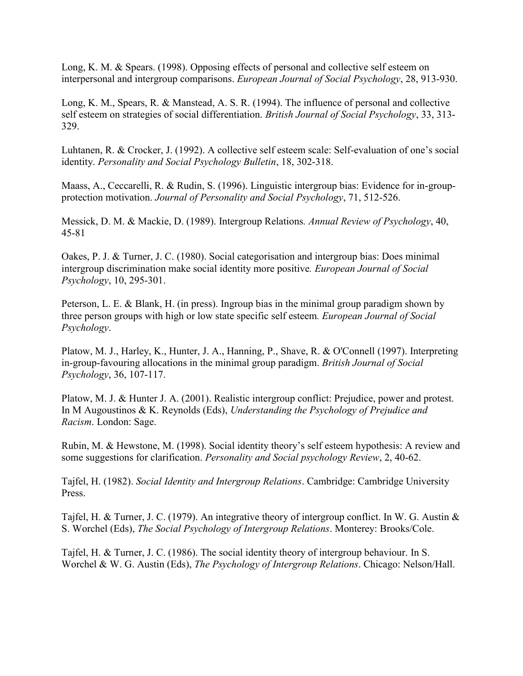Long, K. M. & Spears. (1998). Opposing effects of personal and collective self esteem on interpersonal and intergroup comparisons. *European Journal of Social Psychology*, 28, 913-930.

Long, K. M., Spears, R. & Manstead, A. S. R. (1994). The influence of personal and collective self esteem on strategies of social differentiation. *British Journal of Social Psychology*, 33, 313- 329.

Luhtanen, R. & Crocker, J. (1992). A collective self esteem scale: Self-evaluation of one's social identity. *Personality and Social Psychology Bulletin*, 18, 302-318.

Maass, A., Ceccarelli, R. & Rudin, S. (1996). Linguistic intergroup bias: Evidence for in-groupprotection motivation. *Journal of Personality and Social Psychology*, 71, 512-526.

Messick, D. M. & Mackie, D. (1989). Intergroup Relations*. Annual Review of Psychology*, 40, 45-81

Oakes, P. J. & Turner, J. C. (1980). Social categorisation and intergroup bias: Does minimal intergroup discrimination make social identity more positive*. European Journal of Social Psychology*, 10, 295-301.

Peterson, L. E. & Blank, H. (in press). Ingroup bias in the minimal group paradigm shown by three person groups with high or low state specific self esteem*. European Journal of Social Psychology*.

Platow, M. J., Harley, K., Hunter, J. A., Hanning, P., Shave, R. & O'Connell (1997). Interpreting in-group-favouring allocations in the minimal group paradigm. *British Journal of Social Psychology*, 36, 107-117.

Platow, M. J. & Hunter J. A. (2001). Realistic intergroup conflict: Prejudice, power and protest. In M Augoustinos & K. Reynolds (Eds), *Understanding the Psychology of Prejudice and Racism*. London: Sage.

Rubin, M. & Hewstone, M. (1998). Social identity theory's self esteem hypothesis: A review and some suggestions for clarification. *Personality and Social psychology Review*, 2, 40-62.

Tajfel, H. (1982). *Social Identity and Intergroup Relations*. Cambridge: Cambridge University Press.

Tajfel, H. & Turner, J. C. (1979). An integrative theory of intergroup conflict. In W. G. Austin & S. Worchel (Eds), *The Social Psychology of Intergroup Relations*. Monterey: Brooks/Cole.

Tajfel, H. & Turner, J. C. (1986). The social identity theory of intergroup behaviour. In S. Worchel & W. G. Austin (Eds), *The Psychology of Intergroup Relations*. Chicago: Nelson/Hall.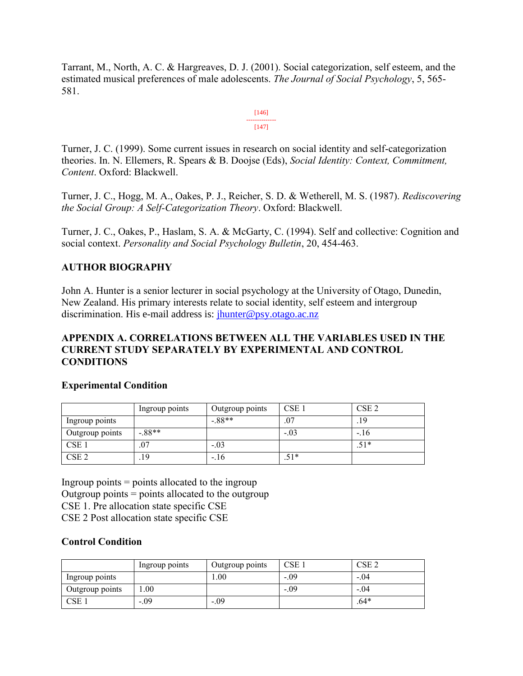Tarrant, M., North, A. C. & Hargreaves, D. J. (2001). Social categorization, self esteem, and the estimated musical preferences of male adolescents. *The Journal of Social Psychology*, 5, 565- 581.

> [146] -------------- [147]

Turner, J. C. (1999). Some current issues in research on social identity and self-categorization theories. In. N. Ellemers, R. Spears & B. Doojse (Eds), *Social Identity: Context, Commitment, Content*. Oxford: Blackwell.

Turner, J. C., Hogg, M. A., Oakes, P. J., Reicher, S. D. & Wetherell, M. S. (1987). *Rediscovering the Social Group: A Self-Categorization Theory*. Oxford: Blackwell.

Turner, J. C., Oakes, P., Haslam, S. A. & McGarty, C. (1994). Self and collective: Cognition and social context. *Personality and Social Psychology Bulletin*, 20, 454-463.

# **AUTHOR BIOGRAPHY**

John A. Hunter is a senior lecturer in social psychology at the University of Otago, Dunedin, New Zealand. His primary interests relate to social identity, self esteem and intergroup discrimination. His e-mail address is: *jhunter@psy.otago.ac.nz* 

## **APPENDIX A. CORRELATIONS BETWEEN ALL THE VARIABLES USED IN THE CURRENT STUDY SEPARATELY BY EXPERIMENTAL AND CONTROL CONDITIONS**

## **Experimental Condition**

|                  | Ingroup points | Outgroup points | CSE <sub>1</sub> | CSE <sub>2</sub> |
|------------------|----------------|-----------------|------------------|------------------|
| Ingroup points   |                | $-88**$         | .07              | .19              |
| Outgroup points  | $-88**$        |                 | $-.03$           | $-.16$           |
| CSE <sub>1</sub> | .07            | $-.03$          |                  | $.51*$           |
| CSE <sub>2</sub> | .19            | $-.16$          | $.51*$           |                  |

Ingroup points  $=$  points allocated to the ingroup Outgroup points = points allocated to the outgroup CSE 1. Pre allocation state specific CSE CSE 2 Post allocation state specific CSE

## **Control Condition**

|                  | Ingroup points | Outgroup points | $CSE_1$ | CSE <sub>2</sub> |
|------------------|----------------|-----------------|---------|------------------|
| Ingroup points   |                | 00.             | $-.09$  | $-.04$           |
| Outgroup points  | .00.           |                 | $-.09$  | $-.04$           |
| CSE <sub>1</sub> | $-0.09$        | $-.09$          |         | $.64*$           |